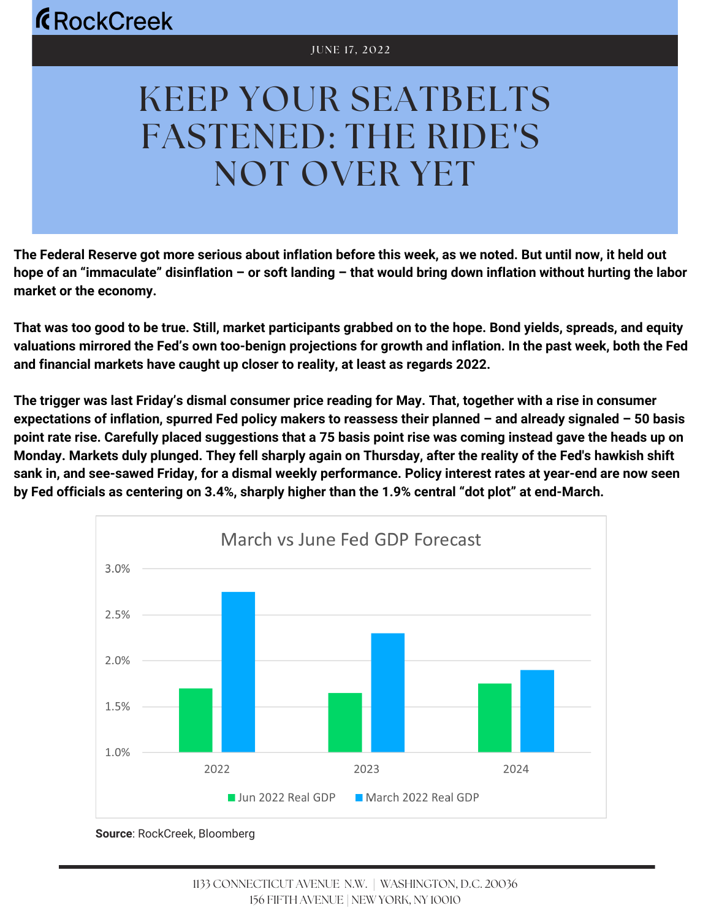# KEEP YOUR SEATBELTS FASTENED: THE RIDE'S NOT OVER YET

The Federal Reserve got more serious about inflation before this week, as we noted. But until now, it held out hope of an "immaculate" disinflation – or soft landing – that would bring down inflation without hurting the labor **market or the economy.**

That was too good to be true. Still, market participants grabbed on to the hope. Bond yields, spreads, and equity valuations mirrored the Fed's own too-benign projections for growth and inflation. In the past week, both the Fed **and financial markets have caught up closer to reality, at least as regards 2022.**

The trigger was last Friday's dismal consumer price reading for May. That, together with a rise in consumer expectations of inflation, spurred Fed policy makers to reassess their planned - and already signaled - 50 basis point rate rise. Carefully placed suggestions that a 75 basis point rise was coming instead gave the heads up on Monday. Markets duly plunged. They fell sharply again on Thursday, after the reality of the Fed's hawkish shift sank in, and see-sawed Friday, for a dismal weekly performance. Policy interest rates at year-end are now seen **by Fed officials as centering on 3.4%, sharply higher than the 1.9% central "dot plot" at end-March.**



**Source**: RockCreek, Bloomberg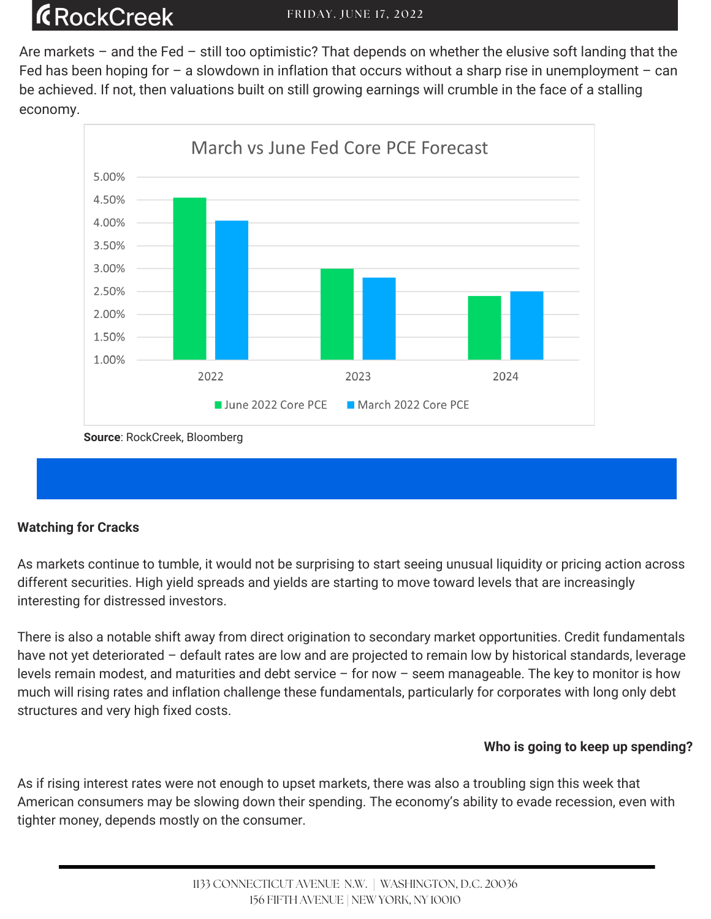Are markets – and the Fed – still too optimistic? That depends on whether the elusive soft landing that the Fed has been hoping for  $-$  a slowdown in inflation that occurs without a sharp rise in unemployment  $-$  can be achieved. If not, then valuations built on still growing earnings will crumble in the face of a stalling economy.



**Source**: RockCreek, Bloomberg

#### **Watching for Cracks**

As markets continue to tumble, it would not be surprising to start seeing unusual liquidity or pricing action across different securities. High yield spreads and yields are starting to move toward levels that are increasingly interesting for distressed investors.

There is also a notable shift away from direct origination to secondary market opportunities. Credit fundamentals have not yet deteriorated – default rates are low and are projected to remain low by historical standards, leverage levels remain modest, and maturities and debt service – for now – seem manageable. The key to monitor is how much will rising rates and inflation challenge these fundamentals, particularly for corporates with long only debt structures and very high fixed costs.

#### **Who is going to keep up spending?**

As if rising interest rates were not enough to upset markets, there was also a troubling sign this week that American consumers may be slowing down their spending. The economy's ability to evade recession, even with tighter money, depends mostly on the consumer.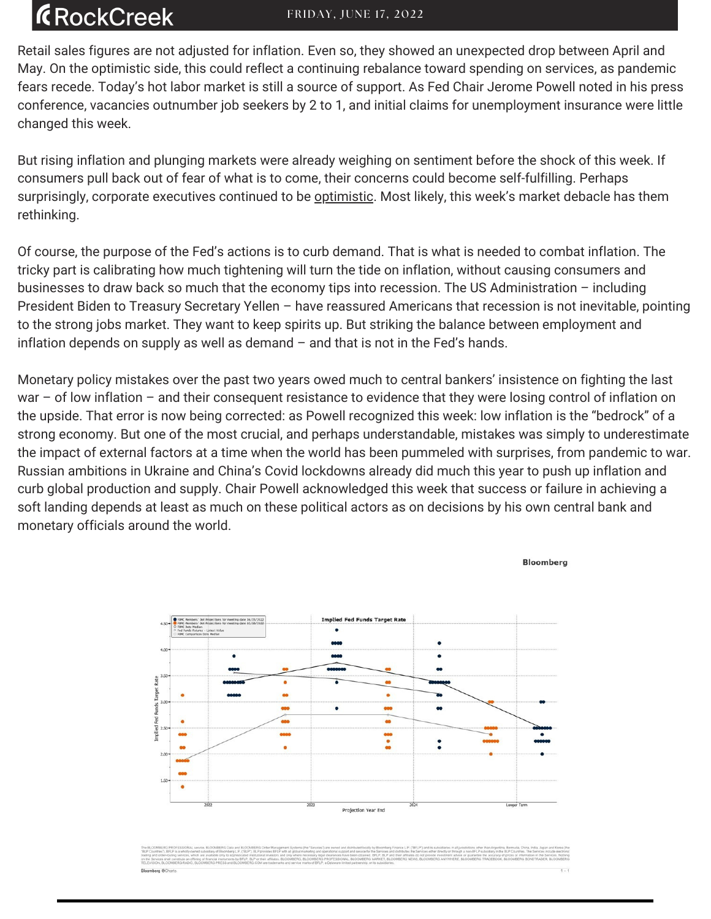# **ÆRockCreek**

Retail sales figures are not adjusted for inflation. Even so, they showed an unexpected drop between April and May. On the optimistic side, this could reflect a continuing rebalance toward spending on services, as pandemic fears recede. Today's hot labor market is still a source of support. As Fed Chair Jerome Powell noted in his press conference, vacancies outnumber job seekers by 2 to 1, and initial claims for unemployment insurance were little changed this week.

But rising inflation and plunging markets were already weighing on sentiment before the shock of this week. If consumers pull back out of fear of what is to come, their concerns could become self-fulfilling. Perhaps surprisingly, corporate executives continued to be [optimistic.](https://www.axios.com/2022/06/14/ceo-confidence-falls-recession) Most likely, this week's market debacle has them rethinking.

Of course, the purpose of the Fed's actions is to curb demand. That is what is needed to combat inflation. The tricky part is calibrating how much tightening will turn the tide on inflation, without causing consumers and businesses to draw back so much that the economy tips into recession. The US Administration – including President Biden to Treasury Secretary Yellen – have reassured Americans that recession is not inevitable, pointing to the strong jobs market. They want to keep spirits up. But striking the balance between employment and inflation depends on supply as well as demand – and that is not in the Fed's hands.

Monetary policy mistakes over the past two years owed much to central bankers' insistence on fighting the last war – of low inflation – and their consequent resistance to evidence that they were losing control of inflation on the upside. That error is now being corrected: as Powell recognized this week: low inflation is the "bedrock" of a strong economy. But one of the most crucial, and perhaps understandable, mistakes was simply to underestimate the impact of external factors at a time when the world has been pummeled with surprises, from pandemic to war. Russian ambitions in Ukraine and China's Covid lockdowns already did much this year to push up inflation and curb global production and supply. Chair Powell acknowledged this week that success or failure in achieving a soft landing depends at least as much on these political actors as on decisions by his own central bank and monetary officials around the world.

**Bloomberg** 

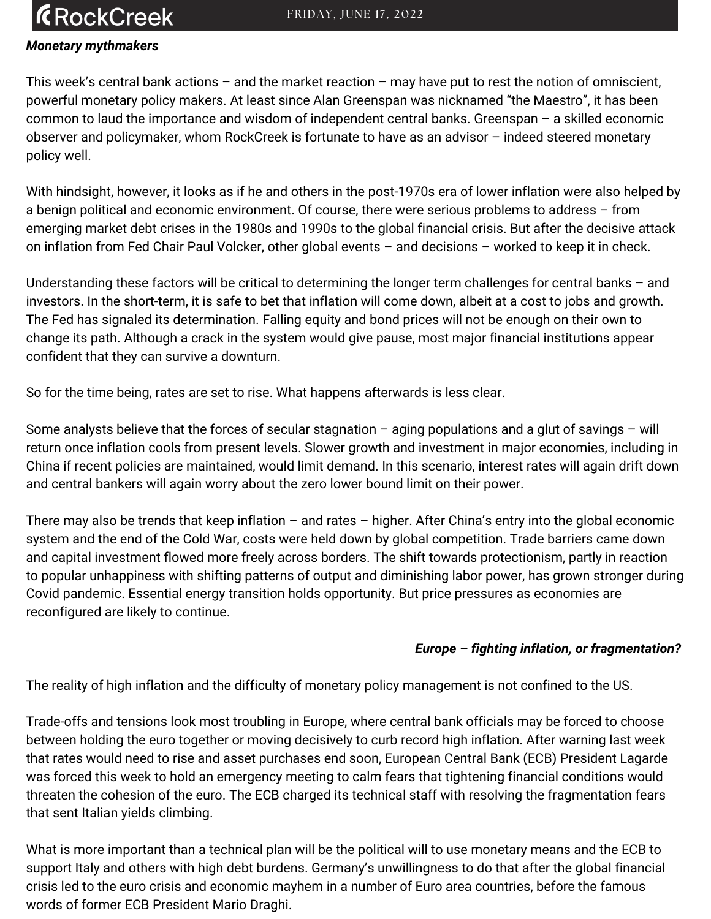### **R**ockCreek

#### *Monetary mythmakers*

This week's central bank actions – and the market reaction – may have put to rest the notion of omniscient, powerful monetary policy makers. At least since Alan Greenspan was nicknamed "the Maestro", it has been common to laud the importance and wisdom of independent central banks. Greenspan – a skilled economic observer and policymaker, whom RockCreek is fortunate to have as an advisor – indeed steered monetary policy well.

With hindsight, however, it looks as if he and others in the post-1970s era of lower inflation were also helped by a benign political and economic environment. Of course, there were serious problems to address – from emerging market debt crises in the 1980s and 1990s to the global financial crisis. But after the decisive attack on inflation from Fed Chair Paul Volcker, other global events – and decisions – worked to keep it in check.

Understanding these factors will be critical to determining the longer term challenges for central banks – and investors. In the short-term, it is safe to bet that inflation will come down, albeit at a cost to jobs and growth. The Fed has signaled its determination. Falling equity and bond prices will not be enough on their own to change its path. Although a crack in the system would give pause, most major financial institutions appear confident that they can survive a downturn.

So for the time being, rates are set to rise. What happens afterwards is less clear.

Some analysts believe that the forces of secular stagnation – aging populations and a glut of savings – will return once inflation cools from present levels. Slower growth and investment in major economies, including in China if recent policies are maintained, would limit demand. In this scenario, interest rates will again drift down and central bankers will again worry about the zero lower bound limit on their power.

There may also be trends that keep inflation – and rates – higher. After China's entry into the global economic system and the end of the Cold War, costs were held down by global competition. Trade barriers came down and capital investment flowed more freely across borders. The shift towards protectionism, partly in reaction to popular unhappiness with shifting patterns of output and diminishing labor power, has grown stronger during Covid pandemic. Essential energy transition holds opportunity. But price pressures as economies are reconfigured are likely to continue.

#### *Europe – fighting inflation, or fragmentation?*

The reality of high inflation and the difficulty of monetary policy management is not confined to the US.

Trade-offs and tensions look most troubling in Europe, where central bank officials may be forced to choose between holding the euro together or moving decisively to curb record high inflation. After warning last week that rates would need to rise and asset purchases end soon, European Central Bank (ECB) President Lagarde was forced this week to hold an emergency meeting to calm fears that tightening financial conditions would threaten the cohesion of the euro. The ECB charged its technical staff with resolving the fragmentation fears that sent Italian yields climbing.

What is more important than a technical plan will be the political will to use monetary means and the ECB to support Italy and others with high debt burdens. Germany's unwillingness to do that after the global financial crisis led to the euro crisis and economic mayhem in a number of Euro area countries, before the famous words of former ECB President Mario Draghi.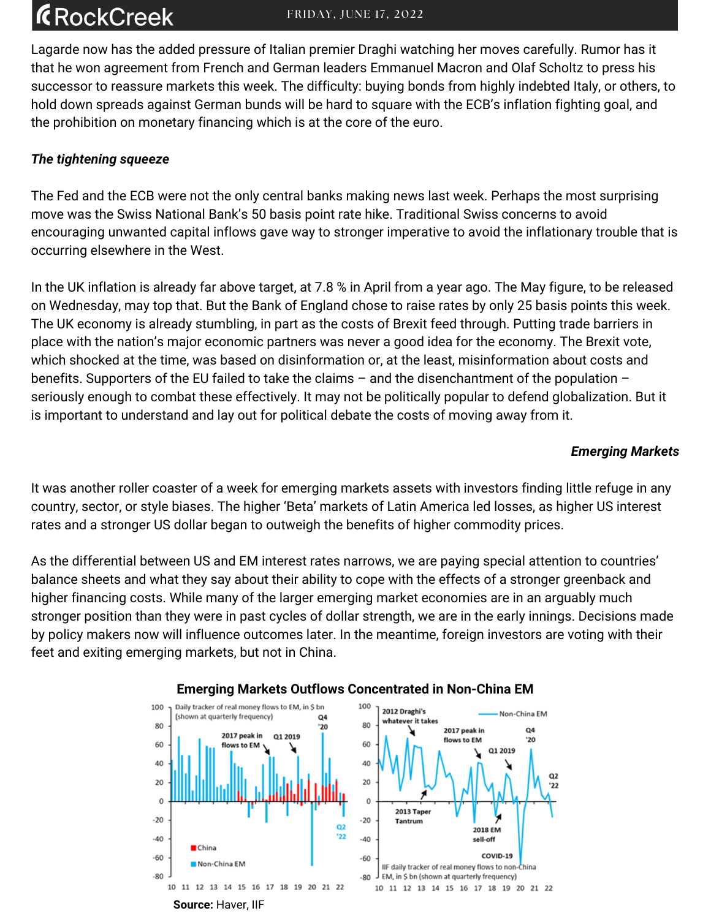### **R**ockCreek

Lagarde now has the added pressure of Italian premier Draghi watching her moves carefully. Rumor has it that he won agreement from French and German leaders Emmanuel Macron and Olaf Scholtz to press his successor to reassure markets this week. The difficulty: buying bonds from highly indebted Italy, or others, to hold down spreads against German bunds will be hard to square with the ECB's inflation fighting goal, and the prohibition on monetary financing which is at the core of the euro.

#### *The tightening squeeze*

The Fed and the ECB were not the only central banks making news last week. Perhaps the most surprising move was the Swiss National Bank's 50 basis point rate hike. Traditional Swiss concerns to avoid encouraging unwanted capital inflows gave way to stronger imperative to avoid the inflationary trouble that is occurring elsewhere in the West.

In the UK inflation is already far above target, at 7.8 % in April from a year ago. The May figure, to be released on Wednesday, may top that. But the Bank of England chose to raise rates by only 25 basis points this week. The UK economy is already stumbling, in part as the costs of Brexit feed through. Putting trade barriers in place with the nation's major economic partners was never a good idea for the economy. The Brexit vote, which shocked at the time, was based on disinformation or, at the least, misinformation about costs and benefits. Supporters of the EU failed to take the claims – and the disenchantment of the population – seriously enough to combat these effectively. It may not be politically popular to defend globalization. But it is important to understand and lay out for political debate the costs of moving away from it.

#### *Emerging Markets*

It was another roller coaster of a week for emerging markets assets with investors finding little refuge in any country, sector, or style biases. The higher 'Beta' markets of Latin America led losses, as higher US interest rates and a stronger US dollar began to outweigh the benefits of higher commodity prices.

As the differential between US and EM interest rates narrows, we are paying special attention to countries' balance sheets and what they say about their ability to cope with the effects of a stronger greenback and higher financing costs. While many of the larger emerging market economies are in an arguably much stronger position than they were in past cycles of dollar strength, we are in the early innings. Decisions made by policy makers now will influence outcomes later. In the meantime, foreign investors are voting with their feet and exiting emerging markets, but not in China.



#### **Emerging Markets Outflows Concentrated in Non-China EM**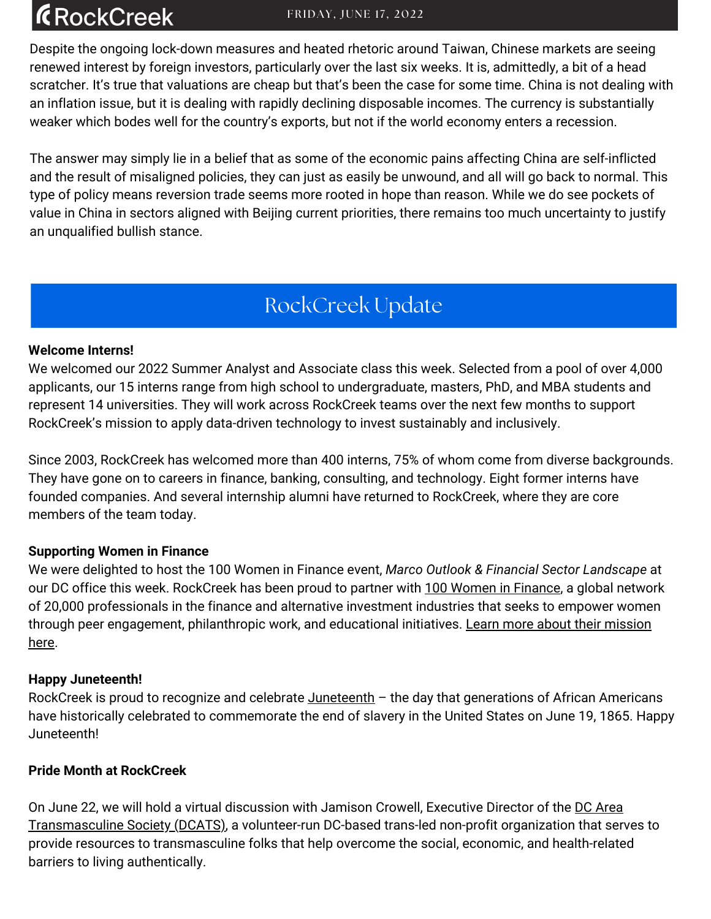# **ÆRockCreek**

Despite the ongoing lock-down measures and heated rhetoric around Taiwan, Chinese markets are seeing renewed interest by foreign investors, particularly over the last six weeks. It is, admittedly, a bit of a head scratcher. It's true that valuations are cheap but that's been the case for some time. China is not dealing with an inflation issue, but it is dealing with rapidly declining disposable incomes. The currency is substantially weaker which bodes well for the country's exports, but not if the world economy enters a recession.

The answer may simply lie in a belief that as some of the economic pains affecting China are self-inflicted and the result of misaligned policies, they can just as easily be unwound, and all will go back to normal. This type of policy means reversion trade seems more rooted in hope than reason. While we do see pockets of value in China in sectors aligned with Beijing current priorities, there remains too much uncertainty to justify an unqualified bullish stance.

### RockCreek Update

#### **Welcome Interns!**

We welcomed our 2022 Summer Analyst and Associate class this week. Selected from a pool of over 4,000 applicants, our 15 interns range from high school to undergraduate, masters, PhD, and MBA students and represent 14 universities. They will work across RockCreek teams over the next few months to support RockCreek's mission to apply data-driven technology to invest sustainably and inclusively.

Since 2003, RockCreek has welcomed more than 400 interns, 75% of whom come from diverse backgrounds. They have gone on to careers in finance, banking, consulting, and technology. Eight former interns have founded companies. And several internship alumni have returned to RockCreek, where they are core members of the team today.

#### **Supporting Women in Finance**

We were delighted to host the 100 Women in Finance event, *Marco Outlook & Financial Sector Landscape* at our DC office this week. RockCreek has been proud to partner wit[h](https://100women.org/) 100 Women in [Finance,](https://100women.org/) a global network of 20,000 professionals in the finance and alternative investment industries that seeks to empower women through peer engagement, [philanthropic](https://100women.org/) work, and educational initiatives. Learn more about their mission here.

#### **Happy Juneteenth!**

RockCreek is proud to recognize and celebrate  $\frac{J$ uneteenth  $-$  the day that generations of African Americans have historically celebrated to commemorate the end of slavery in the United States on June 19, 1865. Happy Juneteenth!

#### **Pride Month at RockCreek**

On June 22, we will hold a virtual discussion with Jamison Crowell, Executive Director of the DC Area [Transmasculine](https://www.dcats.org/) Society (DCATS), a volunteer-run DC-based trans-led non-profit organization that serves to provide resources to transmasculine folks that help overcome the social, economic, and health-related barriers to living authentically.